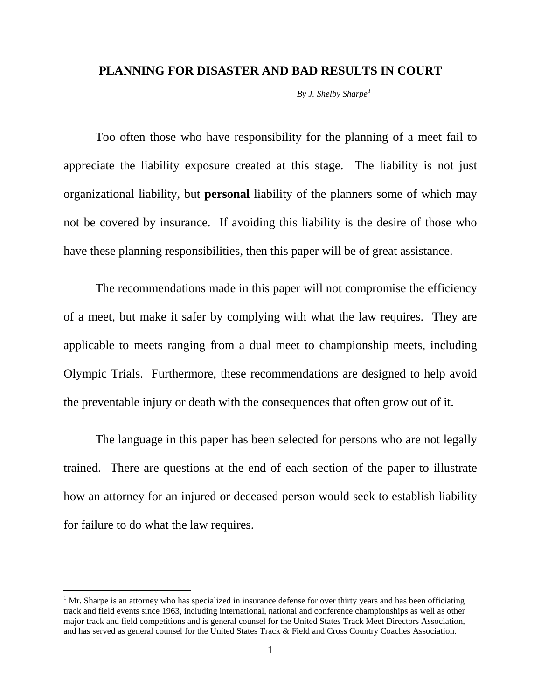### **PLANNING FOR DISASTER AND BAD RESULTS IN COURT**

*By J. Shelby Sharpe[1](#page-0-0)*

Too often those who have responsibility for the planning of a meet fail to appreciate the liability exposure created at this stage. The liability is not just organizational liability, but **personal** liability of the planners some of which may not be covered by insurance. If avoiding this liability is the desire of those who have these planning responsibilities, then this paper will be of great assistance.

The recommendations made in this paper will not compromise the efficiency of a meet, but make it safer by complying with what the law requires. They are applicable to meets ranging from a dual meet to championship meets, including Olympic Trials. Furthermore, these recommendations are designed to help avoid the preventable injury or death with the consequences that often grow out of it.

The language in this paper has been selected for persons who are not legally trained. There are questions at the end of each section of the paper to illustrate how an attorney for an injured or deceased person would seek to establish liability for failure to do what the law requires.

<span id="page-0-0"></span> $<sup>1</sup>$  Mr. Sharpe is an attorney who has specialized in insurance defense for over thirty years and has been officiating</sup> track and field events since 1963, including international, national and conference championships as well as other major track and field competitions and is general counsel for the United States Track Meet Directors Association, and has served as general counsel for the United States Track & Field and Cross Country Coaches Association.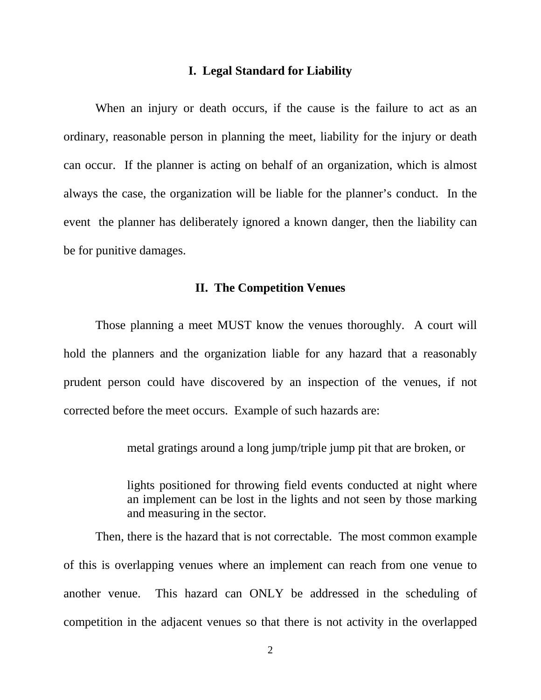### **I. Legal Standard for Liability**

When an injury or death occurs, if the cause is the failure to act as an ordinary, reasonable person in planning the meet, liability for the injury or death can occur. If the planner is acting on behalf of an organization, which is almost always the case, the organization will be liable for the planner's conduct. In the event the planner has deliberately ignored a known danger, then the liability can be for punitive damages.

# **II. The Competition Venues**

Those planning a meet MUST know the venues thoroughly. A court will hold the planners and the organization liable for any hazard that a reasonably prudent person could have discovered by an inspection of the venues, if not corrected before the meet occurs. Example of such hazards are:

metal gratings around a long jump/triple jump pit that are broken, or

lights positioned for throwing field events conducted at night where an implement can be lost in the lights and not seen by those marking and measuring in the sector.

Then, there is the hazard that is not correctable. The most common example of this is overlapping venues where an implement can reach from one venue to another venue. This hazard can ONLY be addressed in the scheduling of competition in the adjacent venues so that there is not activity in the overlapped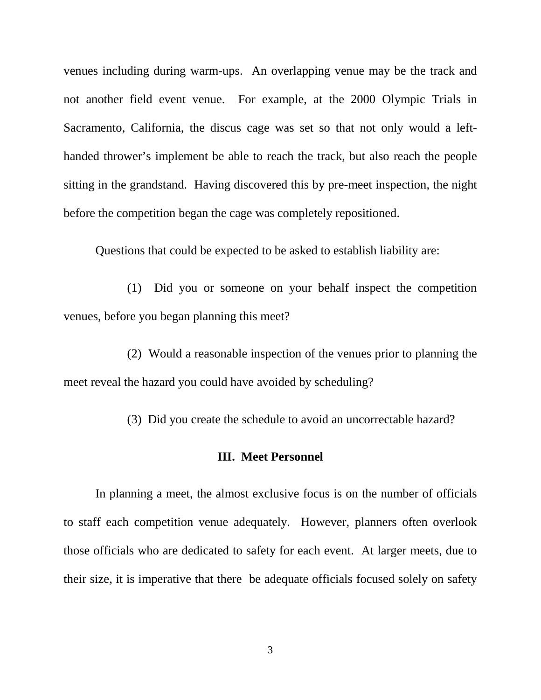venues including during warm-ups. An overlapping venue may be the track and not another field event venue. For example, at the 2000 Olympic Trials in Sacramento, California, the discus cage was set so that not only would a lefthanded thrower's implement be able to reach the track, but also reach the people sitting in the grandstand. Having discovered this by pre-meet inspection, the night before the competition began the cage was completely repositioned.

Questions that could be expected to be asked to establish liability are:

(1) Did you or someone on your behalf inspect the competition venues, before you began planning this meet?

(2) Would a reasonable inspection of the venues prior to planning the meet reveal the hazard you could have avoided by scheduling?

(3) Did you create the schedule to avoid an uncorrectable hazard?

## **III. Meet Personnel**

In planning a meet, the almost exclusive focus is on the number of officials to staff each competition venue adequately. However, planners often overlook those officials who are dedicated to safety for each event. At larger meets, due to their size, it is imperative that there be adequate officials focused solely on safety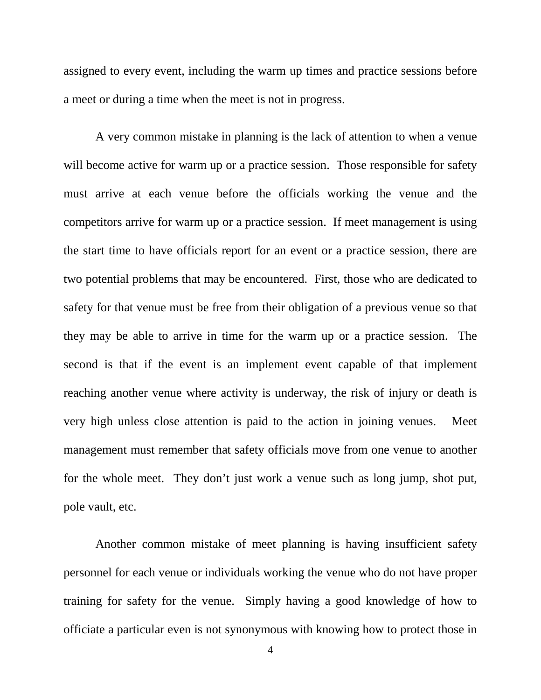assigned to every event, including the warm up times and practice sessions before a meet or during a time when the meet is not in progress.

A very common mistake in planning is the lack of attention to when a venue will become active for warm up or a practice session. Those responsible for safety must arrive at each venue before the officials working the venue and the competitors arrive for warm up or a practice session. If meet management is using the start time to have officials report for an event or a practice session, there are two potential problems that may be encountered. First, those who are dedicated to safety for that venue must be free from their obligation of a previous venue so that they may be able to arrive in time for the warm up or a practice session. The second is that if the event is an implement event capable of that implement reaching another venue where activity is underway, the risk of injury or death is very high unless close attention is paid to the action in joining venues. Meet management must remember that safety officials move from one venue to another for the whole meet. They don't just work a venue such as long jump, shot put, pole vault, etc.

Another common mistake of meet planning is having insufficient safety personnel for each venue or individuals working the venue who do not have proper training for safety for the venue. Simply having a good knowledge of how to officiate a particular even is not synonymous with knowing how to protect those in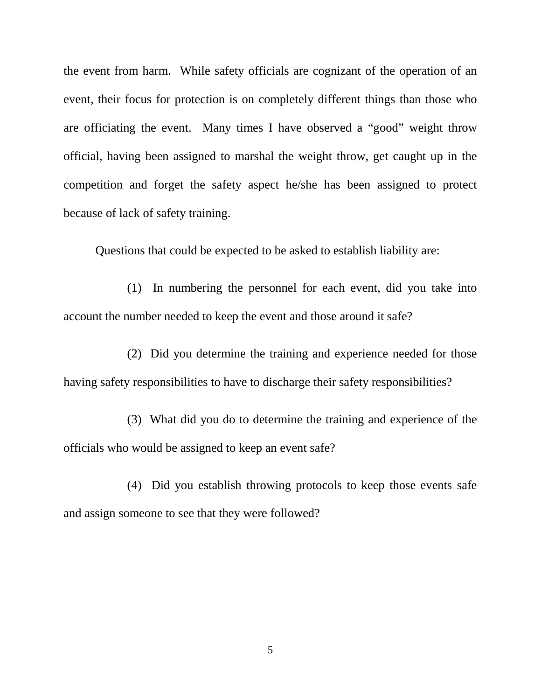the event from harm. While safety officials are cognizant of the operation of an event, their focus for protection is on completely different things than those who are officiating the event. Many times I have observed a "good" weight throw official, having been assigned to marshal the weight throw, get caught up in the competition and forget the safety aspect he/she has been assigned to protect because of lack of safety training.

Questions that could be expected to be asked to establish liability are:

(1) In numbering the personnel for each event, did you take into account the number needed to keep the event and those around it safe?

(2) Did you determine the training and experience needed for those having safety responsibilities to have to discharge their safety responsibilities?

(3) What did you do to determine the training and experience of the officials who would be assigned to keep an event safe?

(4) Did you establish throwing protocols to keep those events safe and assign someone to see that they were followed?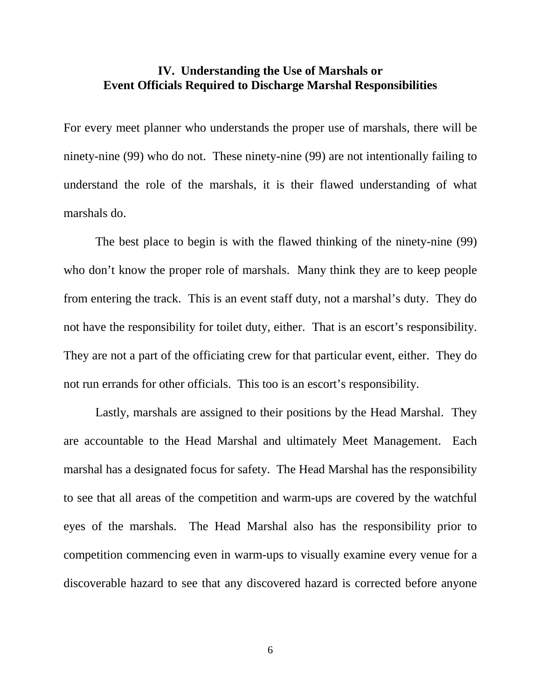# **IV. Understanding the Use of Marshals or Event Officials Required to Discharge Marshal Responsibilities**

For every meet planner who understands the proper use of marshals, there will be ninety-nine (99) who do not. These ninety-nine (99) are not intentionally failing to understand the role of the marshals, it is their flawed understanding of what marshals do.

The best place to begin is with the flawed thinking of the ninety-nine (99) who don't know the proper role of marshals. Many think they are to keep people from entering the track. This is an event staff duty, not a marshal's duty. They do not have the responsibility for toilet duty, either. That is an escort's responsibility. They are not a part of the officiating crew for that particular event, either. They do not run errands for other officials. This too is an escort's responsibility.

Lastly, marshals are assigned to their positions by the Head Marshal. They are accountable to the Head Marshal and ultimately Meet Management. Each marshal has a designated focus for safety. The Head Marshal has the responsibility to see that all areas of the competition and warm-ups are covered by the watchful eyes of the marshals. The Head Marshal also has the responsibility prior to competition commencing even in warm-ups to visually examine every venue for a discoverable hazard to see that any discovered hazard is corrected before anyone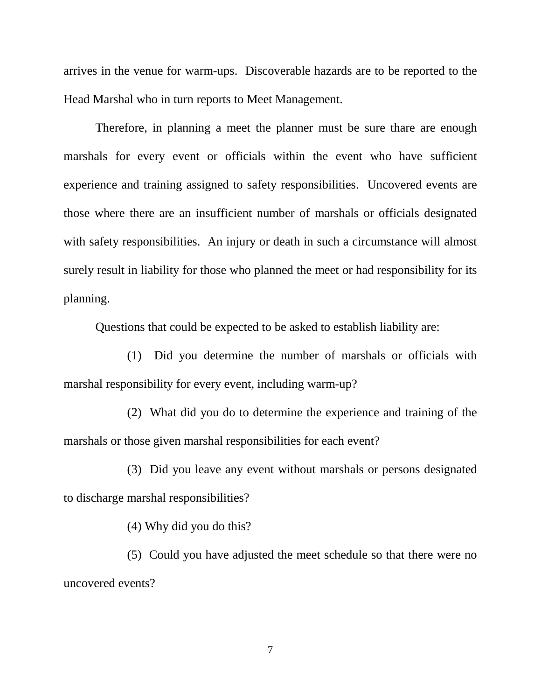arrives in the venue for warm-ups. Discoverable hazards are to be reported to the Head Marshal who in turn reports to Meet Management.

Therefore, in planning a meet the planner must be sure thare are enough marshals for every event or officials within the event who have sufficient experience and training assigned to safety responsibilities. Uncovered events are those where there are an insufficient number of marshals or officials designated with safety responsibilities. An injury or death in such a circumstance will almost surely result in liability for those who planned the meet or had responsibility for its planning.

Questions that could be expected to be asked to establish liability are:

(1) Did you determine the number of marshals or officials with marshal responsibility for every event, including warm-up?

(2) What did you do to determine the experience and training of the marshals or those given marshal responsibilities for each event?

(3) Did you leave any event without marshals or persons designated to discharge marshal responsibilities?

(4) Why did you do this?

(5) Could you have adjusted the meet schedule so that there were no uncovered events?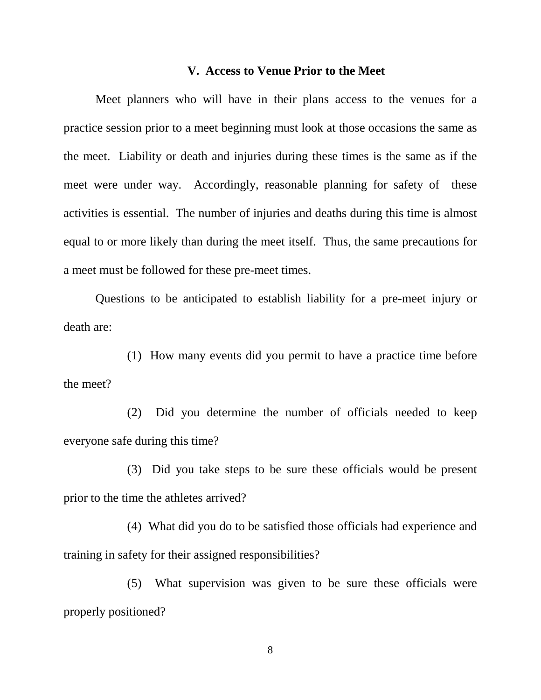#### **V. Access to Venue Prior to the Meet**

Meet planners who will have in their plans access to the venues for a practice session prior to a meet beginning must look at those occasions the same as the meet. Liability or death and injuries during these times is the same as if the meet were under way. Accordingly, reasonable planning for safety of these activities is essential. The number of injuries and deaths during this time is almost equal to or more likely than during the meet itself. Thus, the same precautions for a meet must be followed for these pre-meet times.

Questions to be anticipated to establish liability for a pre-meet injury or death are:

(1) How many events did you permit to have a practice time before the meet?

(2) Did you determine the number of officials needed to keep everyone safe during this time?

(3) Did you take steps to be sure these officials would be present prior to the time the athletes arrived?

(4) What did you do to be satisfied those officials had experience and training in safety for their assigned responsibilities?

(5) What supervision was given to be sure these officials were properly positioned?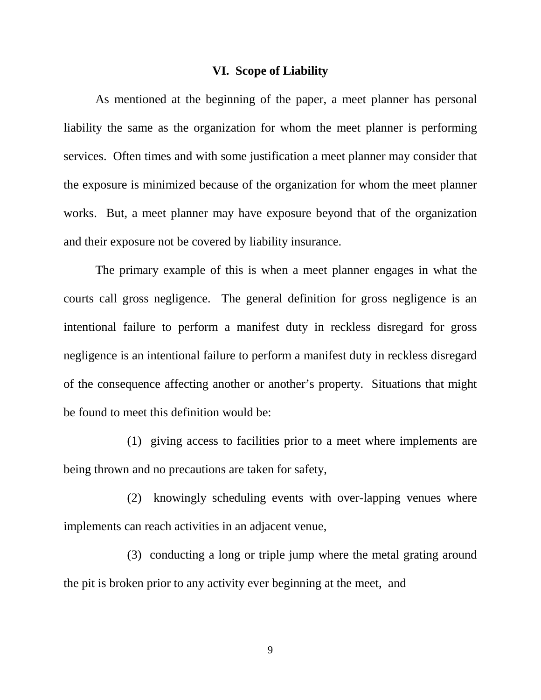# **VI. Scope of Liability**

As mentioned at the beginning of the paper, a meet planner has personal liability the same as the organization for whom the meet planner is performing services. Often times and with some justification a meet planner may consider that the exposure is minimized because of the organization for whom the meet planner works. But, a meet planner may have exposure beyond that of the organization and their exposure not be covered by liability insurance.

The primary example of this is when a meet planner engages in what the courts call gross negligence. The general definition for gross negligence is an intentional failure to perform a manifest duty in reckless disregard for gross negligence is an intentional failure to perform a manifest duty in reckless disregard of the consequence affecting another or another's property. Situations that might be found to meet this definition would be:

(1) giving access to facilities prior to a meet where implements are being thrown and no precautions are taken for safety,

(2) knowingly scheduling events with over-lapping venues where implements can reach activities in an adjacent venue,

(3) conducting a long or triple jump where the metal grating around the pit is broken prior to any activity ever beginning at the meet, and